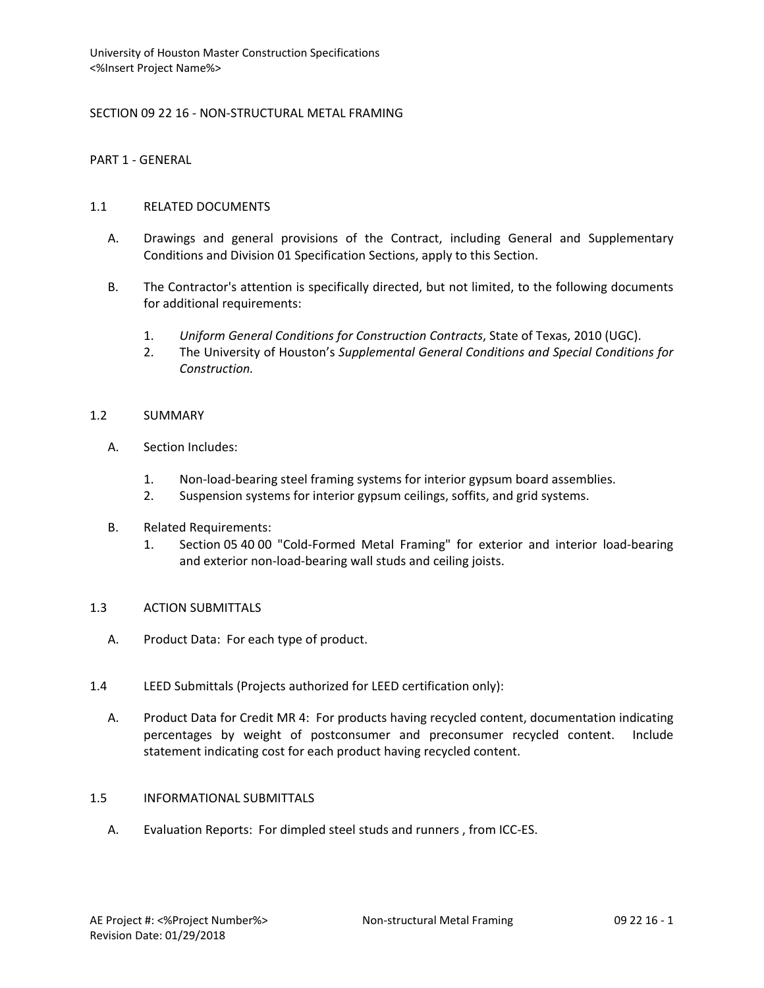## SECTION 09 22 16 - NON-STRUCTURAL METAL FRAMING

PART 1 - GENERAL

### 1.1 RELATED DOCUMENTS

- A. Drawings and general provisions of the Contract, including General and Supplementary Conditions and Division 01 Specification Sections, apply to this Section.
- B. The Contractor's attention is specifically directed, but not limited, to the following documents for additional requirements:
	- 1. *Uniform General Conditions for Construction Contracts*, State of Texas, 2010 (UGC).
	- 2. The University of Houston's *Supplemental General Conditions and Special Conditions for Construction.*

#### 1.2 SUMMARY

- A. Section Includes:
	- 1. Non-load-bearing steel framing systems for interior gypsum board assemblies.
	- 2. Suspension systems for interior gypsum ceilings, soffits, and grid systems.
- B. Related Requirements:
	- 1. Section 05 40 00 "Cold-Formed Metal Framing" for exterior and interior load-bearing and exterior non-load-bearing wall studs and ceiling joists.

#### 1.3 ACTION SUBMITTALS

- A. Product Data: For each type of product.
- 1.4 LEED Submittals (Projects authorized for LEED certification only):
	- A. Product Data for Credit MR 4: For products having recycled content, documentation indicating percentages by weight of postconsumer and preconsumer recycled content. Include statement indicating cost for each product having recycled content.

#### 1.5 INFORMATIONAL SUBMITTALS

A. Evaluation Reports: For dimpled steel studs and runners , from ICC-ES.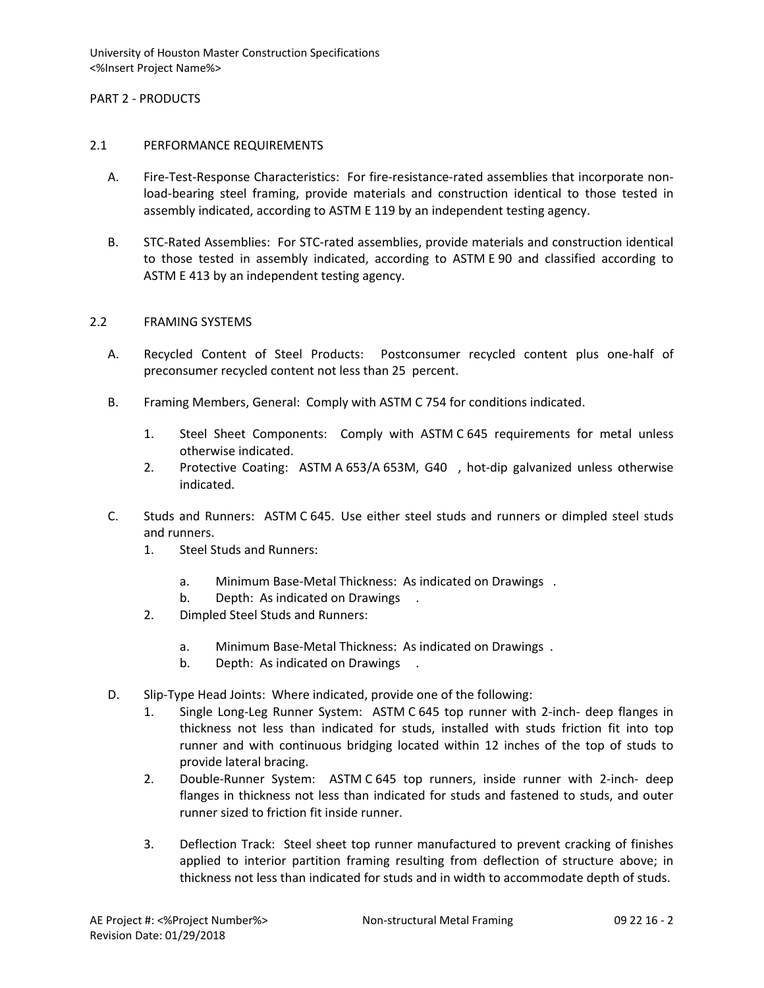## PART 2 - PRODUCTS

### 2.1 PERFORMANCE REQUIREMENTS

- A. Fire-Test-Response Characteristics: For fire-resistance-rated assemblies that incorporate nonload-bearing steel framing, provide materials and construction identical to those tested in assembly indicated, according to ASTM E 119 by an independent testing agency.
- B. STC-Rated Assemblies: For STC-rated assemblies, provide materials and construction identical to those tested in assembly indicated, according to ASTM E 90 and classified according to ASTM E 413 by an independent testing agency.

### 2.2 FRAMING SYSTEMS

- A. Recycled Content of Steel Products: Postconsumer recycled content plus one-half of preconsumer recycled content not less than 25 percent.
- B. Framing Members, General: Comply with ASTM C 754 for conditions indicated.
	- 1. Steel Sheet Components: Comply with ASTM C 645 requirements for metal unless otherwise indicated.
	- 2. Protective Coating: ASTM A 653/A 653M, G40 , hot-dip galvanized unless otherwise indicated.
- C. Studs and Runners: ASTM C 645. Use either steel studs and runners or dimpled steel studs and runners.
	- 1. Steel Studs and Runners:
		- a. Minimum Base-Metal Thickness: As indicated on Drawings .
		- b. Depth: As indicated on Drawings.
	- 2. Dimpled Steel Studs and Runners:
		- a. Minimum Base-Metal Thickness: As indicated on Drawings .
		- b. Depth: As indicated on Drawings.
- D. Slip-Type Head Joints: Where indicated, provide one of the following:
	- 1. Single Long-Leg Runner System: ASTM C 645 top runner with 2-inch- deep flanges in thickness not less than indicated for studs, installed with studs friction fit into top runner and with continuous bridging located within 12 inches of the top of studs to provide lateral bracing.
	- 2. Double-Runner System: ASTM C 645 top runners, inside runner with 2-inch- deep flanges in thickness not less than indicated for studs and fastened to studs, and outer runner sized to friction fit inside runner.
	- 3. Deflection Track: Steel sheet top runner manufactured to prevent cracking of finishes applied to interior partition framing resulting from deflection of structure above; in thickness not less than indicated for studs and in width to accommodate depth of studs.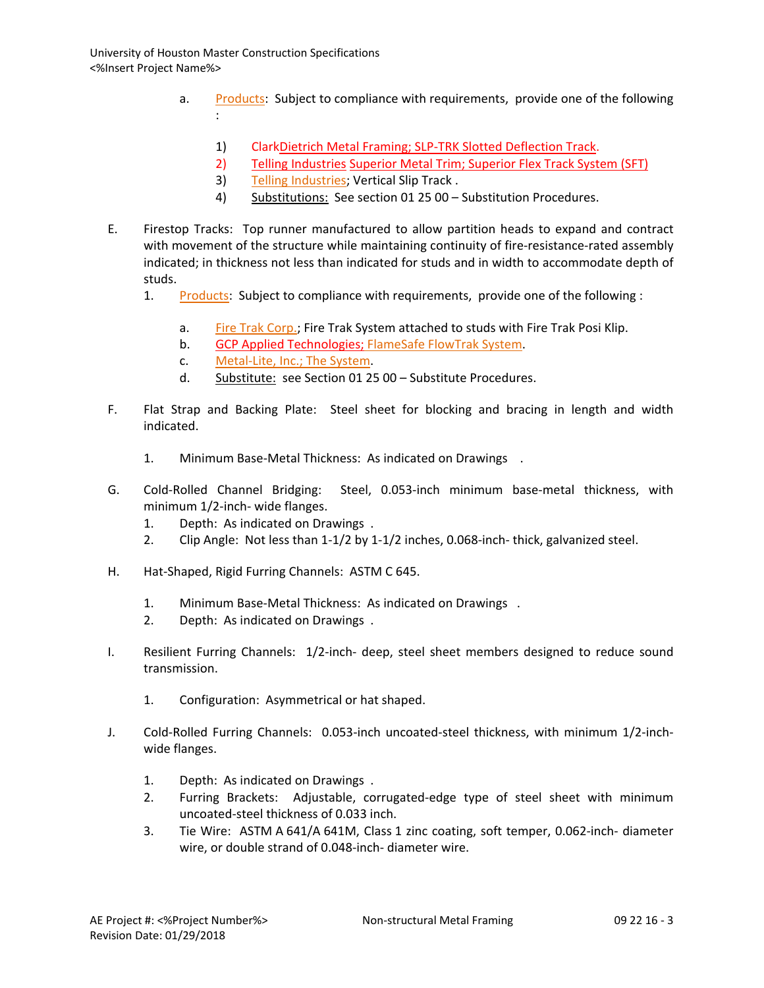- a. [Products:](http://www.specagent.com/LookUp/?ulid=226&mf=04&src=wd) Subject to compliance with requirements, provide one of the following :
	- 1) ClarkDietrich Metal Framing; SLP-TRK Slotted Deflection Track.
	- 2) Telling Industries [Superior Metal Trim; Superior Flex Track System \(SFT\)](http://www.specagent.com/LookUp/?uid=123456814683&mf=04&src=wd)
	- 3) [Telling Industries;](http://www.specagent.com/LookUp/?uid=123456814684&mf=04&src=wd) Vertical Slip Track .
	- 4) Substitutions: See section 01 25 00 Substitution Procedures.
- E. Firestop Tracks: Top runner manufactured to allow partition heads to expand and contract with movement of the structure while maintaining continuity of fire-resistance-rated assembly indicated; in thickness not less than indicated for studs and in width to accommodate depth of studs.
	- 1. [Products:](http://www.specagent.com/LookUp/?ulid=227&mf=04&src=wd) Subject to compliance with requirements, provide one of the following :
		- a. [Fire Trak Corp.;](http://www.specagent.com/LookUp/?uid=123456814685&mf=04&src=wd) Fire Trak System attached to studs with Fire Trak Posi Klip.
		- b. GCP Applied Technologies; FlameSafe FlowTrak System.
		- c. [Metal-Lite, Inc.; The System.](http://www.specagent.com/LookUp/?uid=123456814687&mf=04&src=wd)
		- d. Substitute: see Section 01 25 00 Substitute Procedures.
- F. Flat Strap and Backing Plate: Steel sheet for blocking and bracing in length and width indicated.
	- 1. Minimum Base-Metal Thickness: As indicated on Drawings .
- G. Cold-Rolled Channel Bridging: Steel, 0.053-inch minimum base-metal thickness, with minimum 1/2-inch- wide flanges.
	- 1. Depth: As indicated on Drawings .
	- 2. Clip Angle: Not less than 1-1/2 by 1-1/2 inches, 0.068-inch- thick, galvanized steel.
- H. Hat-Shaped, Rigid Furring Channels: ASTM C 645.
	- 1. Minimum Base-Metal Thickness: As indicated on Drawings .
	- 2. Depth: As indicated on Drawings .
- I. Resilient Furring Channels: 1/2-inch- deep, steel sheet members designed to reduce sound transmission.
	- 1. Configuration: Asymmetrical or hat shaped.
- J. Cold-Rolled Furring Channels: 0.053-inch uncoated-steel thickness, with minimum 1/2-inchwide flanges.
	- 1. Depth: As indicated on Drawings .
	- 2. Furring Brackets: Adjustable, corrugated-edge type of steel sheet with minimum uncoated-steel thickness of 0.033 inch.
	- 3. Tie Wire: ASTM A 641/A 641M, Class 1 zinc coating, soft temper, 0.062-inch- diameter wire, or double strand of 0.048-inch- diameter wire.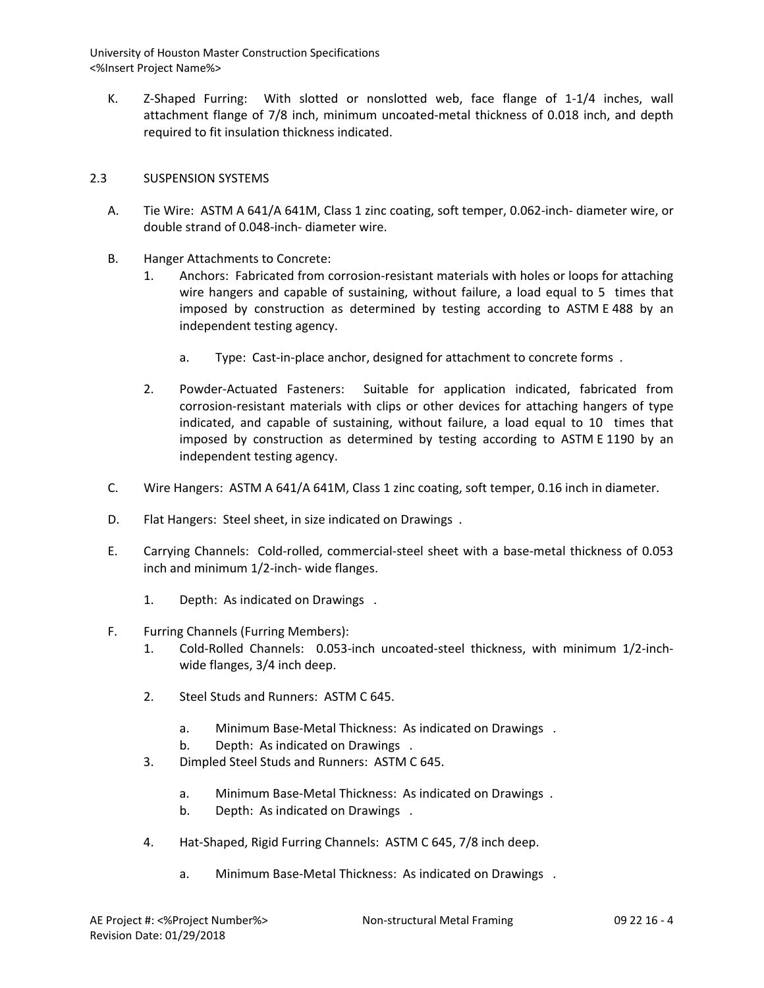K. Z-Shaped Furring: With slotted or nonslotted web, face flange of 1-1/4 inches, wall attachment flange of 7/8 inch, minimum uncoated-metal thickness of 0.018 inch, and depth required to fit insulation thickness indicated.

# 2.3 SUSPENSION SYSTEMS

- A. Tie Wire: ASTM A 641/A 641M, Class 1 zinc coating, soft temper, 0.062-inch- diameter wire, or double strand of 0.048-inch- diameter wire.
- B. Hanger Attachments to Concrete:
	- 1. Anchors: Fabricated from corrosion-resistant materials with holes or loops for attaching wire hangers and capable of sustaining, without failure, a load equal to 5 times that imposed by construction as determined by testing according to ASTM E 488 by an independent testing agency.
		- a. Type: Cast-in-place anchor, designed for attachment to concrete forms .
	- 2. Powder-Actuated Fasteners: Suitable for application indicated, fabricated from corrosion-resistant materials with clips or other devices for attaching hangers of type indicated, and capable of sustaining, without failure, a load equal to 10 times that imposed by construction as determined by testing according to ASTM E 1190 by an independent testing agency.
- C. Wire Hangers: ASTM A 641/A 641M, Class 1 zinc coating, soft temper, 0.16 inch in diameter.
- D. Flat Hangers: Steel sheet, in size indicated on Drawings .
- E. Carrying Channels: Cold-rolled, commercial-steel sheet with a base-metal thickness of 0.053 inch and minimum 1/2-inch- wide flanges.
	- 1. Depth: As indicated on Drawings .

## F. Furring Channels (Furring Members):

- 1. Cold-Rolled Channels: 0.053-inch uncoated-steel thickness, with minimum 1/2-inchwide flanges, 3/4 inch deep.
- 2. Steel Studs and Runners: ASTM C 645.
	- a. Minimum Base-Metal Thickness: As indicated on Drawings .
	- b. Depth: As indicated on Drawings .
- 3. Dimpled Steel Studs and Runners: ASTM C 645.
	- a. Minimum Base-Metal Thickness: As indicated on Drawings .
	- b. Depth: As indicated on Drawings .
- 4. Hat-Shaped, Rigid Furring Channels: ASTM C 645, 7/8 inch deep.
	- a. Minimum Base-Metal Thickness: As indicated on Drawings .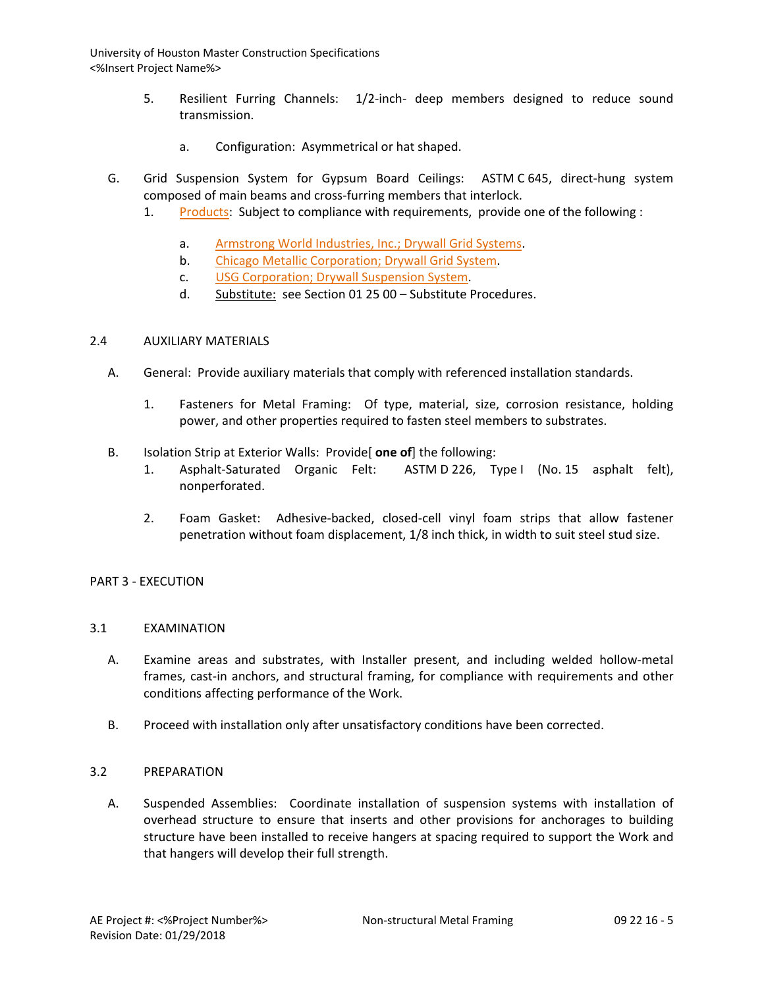- 5. Resilient Furring Channels: 1/2-inch- deep members designed to reduce sound transmission.
	- a. Configuration: Asymmetrical or hat shaped.
- G. Grid Suspension System for Gypsum Board Ceilings: ASTM C 645, direct-hung system composed of main beams and cross-furring members that interlock.
	- 1. [Products:](http://www.specagent.com/LookUp/?ulid=228&mf=04&src=wd) Subject to compliance with requirements, provide one of the following :
		- a. [Armstrong World Industries, Inc.; Drywall Grid Systems.](http://www.specagent.com/LookUp/?uid=123456814688&mf=04&src=wd)
		- b. [Chicago Metallic Corporation; Drywall Grid System.](http://www.specagent.com/LookUp/?uid=123456814689&mf=04&src=wd)
		- c. [USG Corporation; Drywall Suspension System.](http://www.specagent.com/LookUp/?uid=123456814690&mf=04&src=wd)
		- d. Substitute: see Section 01 25 00 Substitute Procedures.

### 2.4 AUXILIARY MATERIALS

- A. General: Provide auxiliary materials that comply with referenced installation standards.
	- 1. Fasteners for Metal Framing: Of type, material, size, corrosion resistance, holding power, and other properties required to fasten steel members to substrates.
- B. Isolation Strip at Exterior Walls: Provide[ **one of**] the following:
	- 1. Asphalt-Saturated Organic Felt: ASTM D 226, Type I (No. 15 asphalt felt), nonperforated.
	- 2. Foam Gasket: Adhesive-backed, closed-cell vinyl foam strips that allow fastener penetration without foam displacement, 1/8 inch thick, in width to suit steel stud size.

## PART 3 - EXECUTION

## 3.1 EXAMINATION

- A. Examine areas and substrates, with Installer present, and including welded hollow-metal frames, cast-in anchors, and structural framing, for compliance with requirements and other conditions affecting performance of the Work.
- B. Proceed with installation only after unsatisfactory conditions have been corrected.

#### 3.2 PREPARATION

A. Suspended Assemblies: Coordinate installation of suspension systems with installation of overhead structure to ensure that inserts and other provisions for anchorages to building structure have been installed to receive hangers at spacing required to support the Work and that hangers will develop their full strength.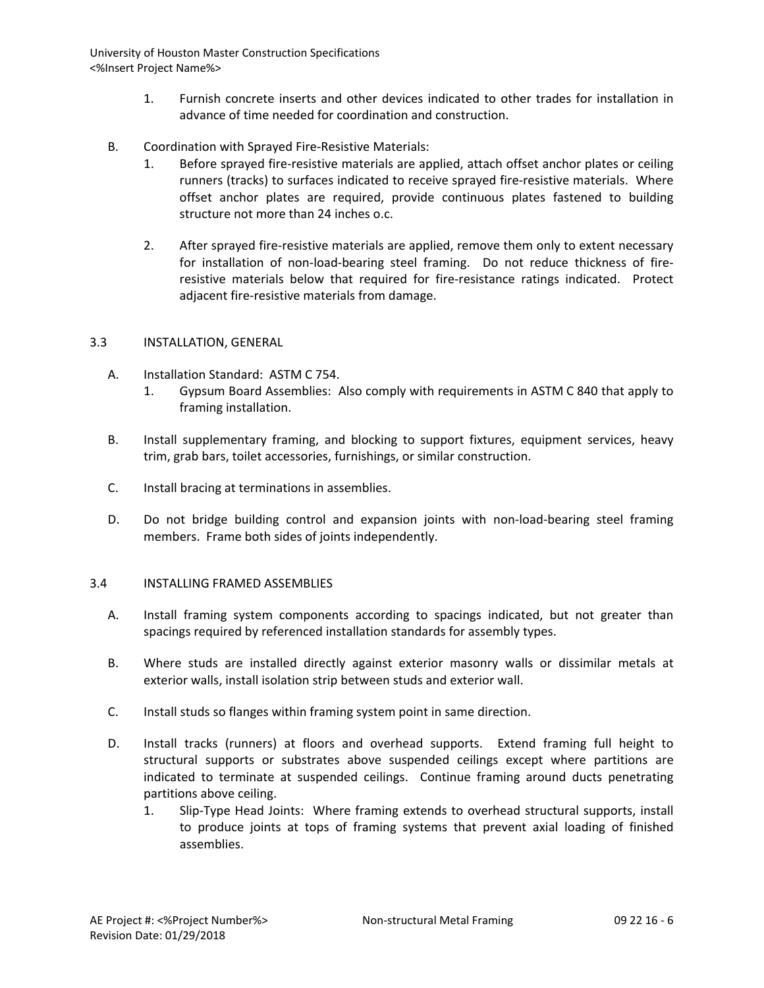- 1. Furnish concrete inserts and other devices indicated to other trades for installation in advance of time needed for coordination and construction.
- B. Coordination with Sprayed Fire-Resistive Materials:
	- 1. Before sprayed fire-resistive materials are applied, attach offset anchor plates or ceiling runners (tracks) to surfaces indicated to receive sprayed fire-resistive materials. Where offset anchor plates are required, provide continuous plates fastened to building structure not more than 24 inches o.c.
	- 2. After sprayed fire-resistive materials are applied, remove them only to extent necessary for installation of non-load-bearing steel framing. Do not reduce thickness of fireresistive materials below that required for fire-resistance ratings indicated. Protect adjacent fire-resistive materials from damage.

## 3.3 INSTALLATION, GENERAL

- A. Installation Standard: ASTM C 754.
	- 1. Gypsum Board Assemblies: Also comply with requirements in ASTM C 840 that apply to framing installation.
- B. Install supplementary framing, and blocking to support fixtures, equipment services, heavy trim, grab bars, toilet accessories, furnishings, or similar construction.
- C. Install bracing at terminations in assemblies.
- D. Do not bridge building control and expansion joints with non-load-bearing steel framing members. Frame both sides of joints independently.

## 3.4 INSTALLING FRAMED ASSEMBLIES

- A. Install framing system components according to spacings indicated, but not greater than spacings required by referenced installation standards for assembly types.
- B. Where studs are installed directly against exterior masonry walls or dissimilar metals at exterior walls, install isolation strip between studs and exterior wall.
- C. Install studs so flanges within framing system point in same direction.
- D. Install tracks (runners) at floors and overhead supports. Extend framing full height to structural supports or substrates above suspended ceilings except where partitions are indicated to terminate at suspended ceilings. Continue framing around ducts penetrating partitions above ceiling.
	- 1. Slip-Type Head Joints: Where framing extends to overhead structural supports, install to produce joints at tops of framing systems that prevent axial loading of finished assemblies.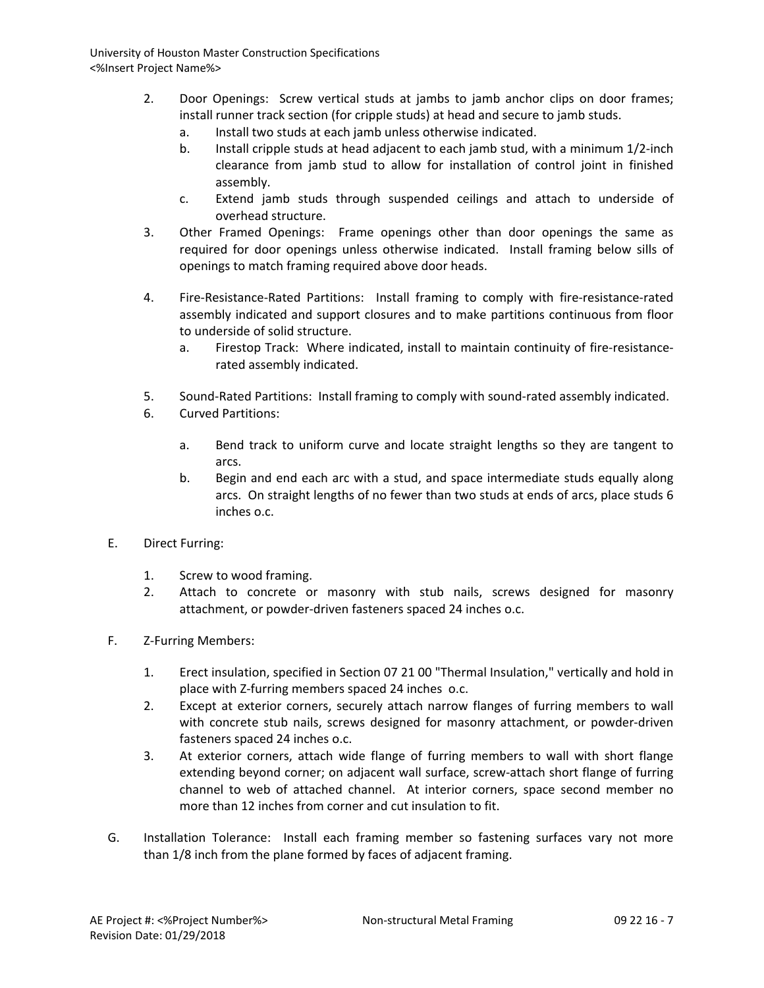- 2. Door Openings: Screw vertical studs at jambs to jamb anchor clips on door frames; install runner track section (for cripple studs) at head and secure to jamb studs.
	- a. Install two studs at each jamb unless otherwise indicated.
	- b. Install cripple studs at head adjacent to each jamb stud, with a minimum 1/2-inch clearance from jamb stud to allow for installation of control joint in finished assembly.
	- c. Extend jamb studs through suspended ceilings and attach to underside of overhead structure.
- 3. Other Framed Openings: Frame openings other than door openings the same as required for door openings unless otherwise indicated. Install framing below sills of openings to match framing required above door heads.
- 4. Fire-Resistance-Rated Partitions: Install framing to comply with fire-resistance-rated assembly indicated and support closures and to make partitions continuous from floor to underside of solid structure.
	- a. Firestop Track: Where indicated, install to maintain continuity of fire-resistancerated assembly indicated.
- 5. Sound-Rated Partitions: Install framing to comply with sound-rated assembly indicated.
- 6. Curved Partitions:
	- a. Bend track to uniform curve and locate straight lengths so they are tangent to arcs.
	- b. Begin and end each arc with a stud, and space intermediate studs equally along arcs. On straight lengths of no fewer than two studs at ends of arcs, place studs 6 inches o.c.
- E. Direct Furring:
	- 1. Screw to wood framing.
	- 2. Attach to concrete or masonry with stub nails, screws designed for masonry attachment, or powder-driven fasteners spaced 24 inches o.c.
- F. Z-Furring Members:
	- 1. Erect insulation, specified in Section 07 21 00 "Thermal Insulation," vertically and hold in place with Z-furring members spaced 24 inches o.c.
	- 2. Except at exterior corners, securely attach narrow flanges of furring members to wall with concrete stub nails, screws designed for masonry attachment, or powder-driven fasteners spaced 24 inches o.c.
	- 3. At exterior corners, attach wide flange of furring members to wall with short flange extending beyond corner; on adjacent wall surface, screw-attach short flange of furring channel to web of attached channel. At interior corners, space second member no more than 12 inches from corner and cut insulation to fit.
- G. Installation Tolerance: Install each framing member so fastening surfaces vary not more than 1/8 inch from the plane formed by faces of adjacent framing.